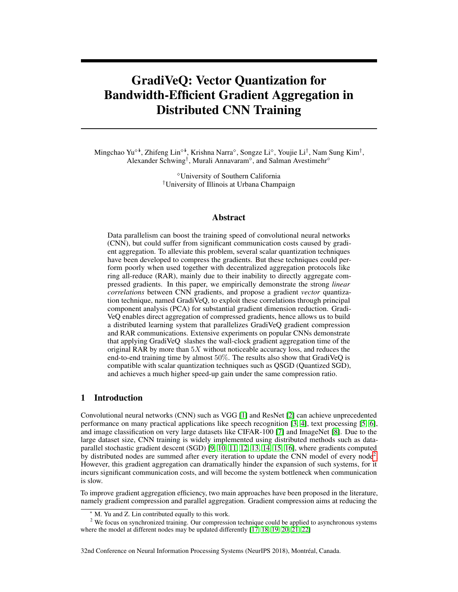# GradiVeQ: Vector Quantization for Bandwidth-Efficient Gradient Aggregation in Distributed CNN Training

Mingchao Yu<sup>√‡</sup>, Zhifeng Lin<sup>√‡</sup>, Krishna Narra<sup>√</sup>, Songze Li<sup>√</sup>, Youjie Li<sup>†</sup>, Nam Sung Kim<sup>†</sup>, Alexander Schwing<sup>†</sup>, Murali Annavaram<sup> $\diamond$ </sup>, and Salman Avestimehr<sup> $\diamond$ </sup>

> University of Southern California †University of Illinois at Urbana Champaign

## Abstract

Data parallelism can boost the training speed of convolutional neural networks (CNN), but could suffer from significant communication costs caused by gradient aggregation. To alleviate this problem, several scalar quantization techniques have been developed to compress the gradients. But these techniques could perform poorly when used together with decentralized aggregation protocols like ring all-reduce (RAR), mainly due to their inability to directly aggregate compressed gradients. In this paper, we empirically demonstrate the strong *linear correlations* between CNN gradients, and propose a gradient *vector* quantization technique, named GradiVeQ, to exploit these correlations through principal component analysis (PCA) for substantial gradient dimension reduction. Gradi-VeQ enables direct aggregation of compressed gradients, hence allows us to build a distributed learning system that parallelizes GradiVeQ gradient compression and RAR communications. Extensive experiments on popular CNNs demonstrate that applying GradiVeQ slashes the wall-clock gradient aggregation time of the original RAR by more than  $5X$  without noticeable accuracy loss, and reduces the end-to-end training time by almost 50%. The results also show that GradiVeQ is compatible with scalar quantization techniques such as QSGD (Quantized SGD), and achieves a much higher speed-up gain under the same compression ratio.

## 1 Introduction

Convolutional neural networks (CNN) such as VGG [1] and ResNet [2] can achieve unprecedented performance on many practical applications like speech recognition [3, 4], text processing [5, 6], and image classification on very large datasets like CIFAR-100 [7] and ImageNet [8]. Due to the large dataset size, CNN training is widely implemented using distributed methods such as dataparallel stochastic gradient descent (SGD) [9, 10, 11, 12, 13, 14, 15, 16], where gradients computed by distributed nodes are summed after every iteration to update the CNN model of every node<sup>2</sup>. However, this gradient aggregation can dramatically hinder the expansion of such systems, for it incurs significant communication costs, and will become the system bottleneck when communication is slow.

To improve gradient aggregation efficiency, two main approaches have been proposed in the literature, namely gradient compression and parallel aggregation. Gradient compression aims at reducing the

32nd Conference on Neural Information Processing Systems (NeurIPS 2018), Montréal, Canada.

<sup>∗</sup> M. Yu and Z. Lin contributed equally to this work.

<sup>&</sup>lt;sup>2</sup> We focus on synchronized training. Our compression technique could be applied to asynchronous systems where the model at different nodes may be updated differently [17, 18, 19, 20, 21, 22]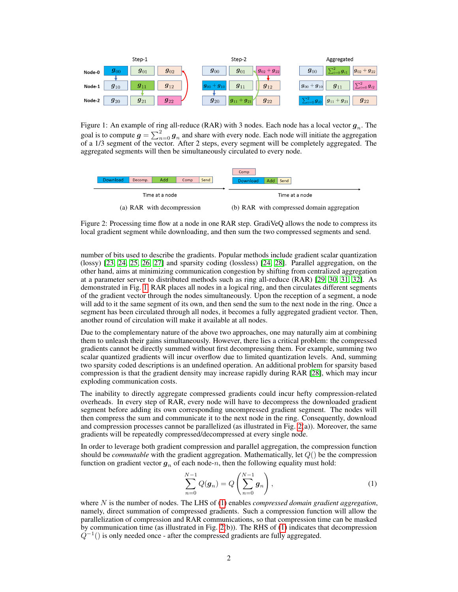

Figure 1: An example of ring all-reduce (RAR) with 3 nodes. Each node has a local vector  $g_n$ . The goal is to compute  $g = \sum_{n=0}^{2} g_n$  and share with every node. Each node will initiate the aggregation of a 1/3 segment of the vector. After 2 steps, every segment will be completely aggregated. The aggregated segments will then be simultaneously circulated to every node.



Figure 2: Processing time flow at a node in one RAR step. GradiVeQ allows the node to compress its local gradient segment while downloading, and then sum the two compressed segments and send.

number of bits used to describe the gradients. Popular methods include gradient scalar quantization (lossy) [23, 24, 25, 26, 27] and sparsity coding (lossless) [24, 28]. Parallel aggregation, on the other hand, aims at minimizing communication congestion by shifting from centralized aggregation at a parameter server to distributed methods such as ring all-reduce (RAR) [29, 30, 31, 32]. As demonstrated in Fig. 1, RAR places all nodes in a logical ring, and then circulates different segments of the gradient vector through the nodes simultaneously. Upon the reception of a segment, a node will add to it the same segment of its own, and then send the sum to the next node in the ring. Once a segment has been circulated through all nodes, it becomes a fully aggregated gradient vector. Then, another round of circulation will make it available at all nodes.

Due to the complementary nature of the above two approaches, one may naturally aim at combining them to unleash their gains simultaneously. However, there lies a critical problem: the compressed gradients cannot be directly summed without first decompressing them. For example, summing two scalar quantized gradients will incur overflow due to limited quantization levels. And, summing two sparsity coded descriptions is an undefined operation. An additional problem for sparsity based compression is that the gradient density may increase rapidly during RAR [28], which may incur exploding communication costs.

The inability to directly aggregate compressed gradients could incur hefty compression-related overheads. In every step of RAR, every node will have to decompress the downloaded gradient segment before adding its own corresponding uncompressed gradient segment. The nodes will then compress the sum and communicate it to the next node in the ring. Consequently, download and compression processes cannot be parallelized (as illustrated in Fig. 2(a)). Moreover, the same gradients will be repeatedly compressed/decompressed at every single node.

In order to leverage both gradient compression and parallel aggregation, the compression function should be *commutable* with the gradient aggregation. Mathematically, let Q() be the compression function on gradient vector  $g_n$  of each node-n, then the following equality must hold:

$$
\sum_{n=0}^{N-1} Q(\mathbf{g}_n) = Q\left(\sum_{n=0}^{N-1} \mathbf{g}_n\right),\tag{1}
$$

where N is the number of nodes. The LHS of (1) enables *compressed domain gradient aggregation*, namely, direct summation of compressed gradients. Such a compression function will allow the parallelization of compression and RAR communications, so that compression time can be masked by communication time (as illustrated in Fig. 2(b)). The RHS of (1) indicates that decompression  $Q^{-1}$ () is only needed once - after the compressed gradients are fully aggregated.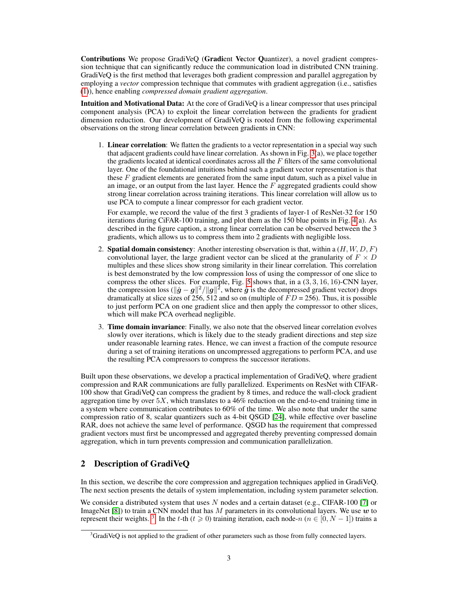Contributions We propose GradiVeO (Gradient Vector Quantizer), a novel gradient compression technique that can significantly reduce the communication load in distributed CNN training. GradiVeQ is the first method that leverages both gradient compression and parallel aggregation by employing a *vector* compression technique that commutes with gradient aggregation (i.e., satisfies (1)), hence enabling *compressed domain gradient aggregation*.

Intuition and Motivational Data: At the core of GradiVeO is a linear compressor that uses principal component analysis (PCA) to exploit the linear correlation between the gradients for gradient dimension reduction. Our development of GradiVeQ is rooted from the following experimental observations on the strong linear correlation between gradients in CNN:

1. Linear correlation: We flatten the gradients to a vector representation in a special way such that adjacent gradients could have linear correlation. As shown in Fig. 3(a), we place together the gradients located at identical coordinates across all the  $F$  filters of the same convolutional layer. One of the foundational intuitions behind such a gradient vector representation is that these  $F$  gradient elements are generated from the same input datum, such as a pixel value in an image, or an output from the last layer. Hence the  $F$  aggregated gradients could show strong linear correlation across training iterations. This linear correlation will allow us to use PCA to compute a linear compressor for each gradient vector.

For example, we record the value of the first 3 gradients of layer-1 of ResNet-32 for 150 iterations during CiFAR-100 training, and plot them as the 150 blue points in Fig. 4(a). As described in the figure caption, a strong linear correlation can be observed between the 3 gradients, which allows us to compress them into 2 gradients with negligible loss.

- 2. **Spatial domain consistency**: Another interesting observation is that, within a  $(H, W, D, F)$ convolutional layer, the large gradient vector can be sliced at the granularity of  $F \times D$ multiples and these slices show strong similarity in their linear correlation. This correlation is best demonstrated by the low compression loss of using the compressor of one slice to compress the other slices. For example, Fig. 5 shows that, in a  $(3, 3, 16, 16)$ -CNN layer, the compression loss ( $\|\hat{g} - g\|^2 / \|g\|^2$ , where  $\hat{g}$  is the decompressed gradient vector) drops dramatically at slice sizes of 256, 512 and so on (multiple of  $FD = 256$ ). Thus, it is possible to just perform PCA on one gradient slice and then apply the compressor to other slices, which will make PCA overhead negligible.
- 3. Time domain invariance: Finally, we also note that the observed linear correlation evolves slowly over iterations, which is likely due to the steady gradient directions and step size under reasonable learning rates. Hence, we can invest a fraction of the compute resource during a set of training iterations on uncompressed aggregations to perform PCA, and use the resulting PCA compressors to compress the successor iterations.

Built upon these observations, we develop a practical implementation of GradiVeQ, where gradient compression and RAR communications are fully parallelized. Experiments on ResNet with CIFAR-100 show that GradiVeQ can compress the gradient by 8 times, and reduce the wall-clock gradient aggregation time by over  $5X$ , which translates to a 46% reduction on the end-to-end training time in a system where communication contributes to 60% of the time. We also note that under the same compression ratio of 8, scalar quantizers such as 4-bit QSGD [24], while effective over baseline RAR, does not achieve the same level of performance. QSGD has the requirement that compressed gradient vectors must first be uncompressed and aggregated thereby preventing compressed domain aggregation, which in turn prevents compression and communication parallelization.

## 2 Description of GradiVeQ

In this section, we describe the core compression and aggregation techniques applied in GradiVeQ. The next section presents the details of system implementation, including system parameter selection.

We consider a distributed system that uses N nodes and a certain dataset (e.g., CIFAR-100 [7] or ImageNet [8]) to train a CNN model that has M parameters in its convolutional layers. We use w to represent their weights. <sup>3</sup>. In the t-th ( $t \ge 0$ ) training iteration, each node-n ( $n \in [0, N - 1]$ ) trains a

 $3$ GradiVeQ is not applied to the gradient of other parameters such as those from fully connected layers.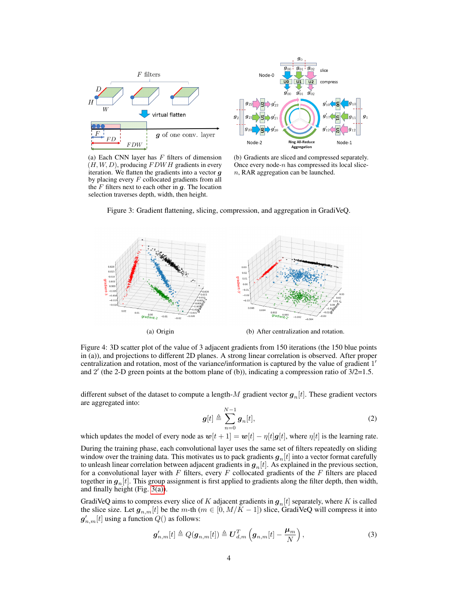



(a) Each CNN layer has  $F$  filters of dimension  $(H, W, D)$ , producing  $FDWH$  gradients in every iteration. We flatten the gradients into a vector g by placing every  $F$  collocated gradients from all the  $F$  filters next to each other in  $g$ . The location selection traverses depth, width, then height.

(b) Gradients are sliced and compressed separately. Once every node- $n$  has compressed its local slicen, RAR aggregation can be launched.

Figure 3: Gradient flattening, slicing, compression, and aggregation in GradiVeQ.



Figure 4: 3D scatter plot of the value of 3 adjacent gradients from 150 iterations (the 150 blue points in (a)), and projections to different 2D planes. A strong linear correlation is observed. After proper centralization and rotation, most of the variance/information is captured by the value of gradient 1' and 2' (the 2-D green points at the bottom plane of (b)), indicating a compression ratio of  $3/2=1.5$ .

different subset of the dataset to compute a length-M gradient vector  $g_n[t]$ . These gradient vectors are aggregated into:

$$
\boldsymbol{g}[t] \triangleq \sum_{n=0}^{N-1} \boldsymbol{g}_n[t], \tag{2}
$$

which updates the model of every node as  $w[t + 1] = w[t] - \eta[t]g[t]$ , where  $\eta[t]$  is the learning rate.

During the training phase, each convolutional layer uses the same set of filters repeatedly on sliding window over the training data. This motivates us to pack gradients  $g_n[t]$  into a vector format carefully to unleash linear correlation between adjacent gradients in  $g_n[t]$ . As explained in the previous section, for a convolutional layer with  $F$  filters, every  $F$  collocated gradients of the  $F$  filters are placed together in  $g_n[t]$ . This group assignment is first applied to gradients along the filter depth, then width, and finally height (Fig. 3(a)).

GradiVeQ aims to compress every slice of K adjacent gradients in  $g_n[t]$  separately, where K is called the slice size. Let  $g_{n,m}[t]$  be the m-th  $(m \in [0, M/K-1])$  slice, GradiVeQ will compress it into  $\boldsymbol{g}_{n,m}'[t]$  using a function  $Q()$  as follows:

$$
\boldsymbol{g}_{n,m}'[t] \triangleq Q(\boldsymbol{g}_{n,m}[t]) \triangleq \boldsymbol{U}_{d,m}^T\left(\boldsymbol{g}_{n,m}[t] - \frac{\boldsymbol{\mu}_m}{N}\right),\tag{3}
$$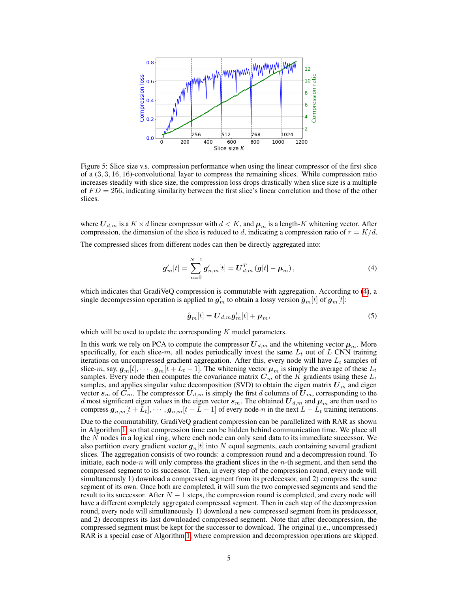

Figure 5: Slice size v.s. compression performance when using the linear compressor of the first slice of a (3, 3, 16, 16)-convolutional layer to compress the remaining slices. While compression ratio increases steadily with slice size, the compression loss drops drastically when slice size is a multiple of  $FD = 256$ , indicating similarity between the first slice's linear correlation and those of the other slices.

where  $\mathbf{U}_{d,m}$  is a  $K \times d$  linear compressor with  $d \leq K$ , and  $\boldsymbol{\mu}_m$  is a length-K whitening vector. After compression, the dimension of the slice is reduced to d, indicating a compression ratio of  $r = K/d$ .

The compressed slices from different nodes can then be directly aggregated into:

$$
\boldsymbol{g}'_{m}[t] = \sum_{n=0}^{N-1} \boldsymbol{g}'_{n,m}[t] = \boldsymbol{U}_{d,m}^{T} \left( \boldsymbol{g}[t] - \boldsymbol{\mu}_{m} \right), \tag{4}
$$

which indicates that GradiVeQ compression is commutable with aggregation. According to (4), a single decompression operation is applied to  $g'_m$  to obtain a lossy version  $\hat{\bm{g}}_m[t]$  of  $\bm{g}_m[t]$ :

$$
\hat{\boldsymbol{g}}_m[t] = \boldsymbol{U}_{d,m} \boldsymbol{g}'_m[t] + \boldsymbol{\mu}_m,\tag{5}
$$

which will be used to update the corresponding  $K$  model parameters.

In this work we rely on PCA to compute the compressor  $U_{d,m}$  and the whitening vector  $\mu_m$ . More specifically, for each slice-m, all nodes periodically invest the same  $L_t$  out of L CNN training iterations on uncompressed gradient aggregation. After this, every node will have  $L_t$  samples of slice-m, say,  $g_m[t], \dots, g_m[t+L_t-1]$ . The whitening vector  $\mu_m$  is simply the average of these  $L_t$ samples. Every node then computes the covariance matrix  $C_m$  of the K gradients using these  $L_t$ samples, and applies singular value decomposition (SVD) to obtain the eigen matrix  $U_m$  and eigen vector  $s_m$  of  $C_m$ . The compressor  $U_{d,m}$  is simply the first d columns of  $U_m$ , corresponding to the d most significant eigen values in the eigen vector  $s_m$ . The obtained  $U_{d,m}$  and  $\mu_m$  are then used to compress  $g_{n,m}[t+L_t], \cdots, g_{n,m}[t+L-1]$  of every node-n in the next  $L - L_t$  training iterations.

Due to the commutability, GradiVeQ gradient compression can be parallelized with RAR as shown in Algorithm 1, so that compression time can be hidden behind communication time. We place all the  $N$  nodes in a logical ring, where each node can only send data to its immediate successor. We also partition every gradient vector  $g_n[t]$  into N equal segments, each containing several gradient slices. The aggregation consists of two rounds: a compression round and a decompression round. To initiate, each node-n will only compress the gradient slices in the  $n$ -th segment, and then send the compressed segment to its successor. Then, in every step of the compression round, every node will simultaneously 1) download a compressed segment from its predecessor, and 2) compress the same segment of its own. Once both are completed, it will sum the two compressed segments and send the result to its successor. After  $N-1$  steps, the compression round is completed, and every node will have a different completely aggregated compressed segment. Then in each step of the decompression round, every node will simultaneously 1) download a new compressed segment from its predecessor, and 2) decompress its last downloaded compressed segment. Note that after decompression, the compressed segment must be kept for the successor to download. The original (i.e., uncompressed) RAR is a special case of Algorithm 1, where compression and decompression operations are skipped.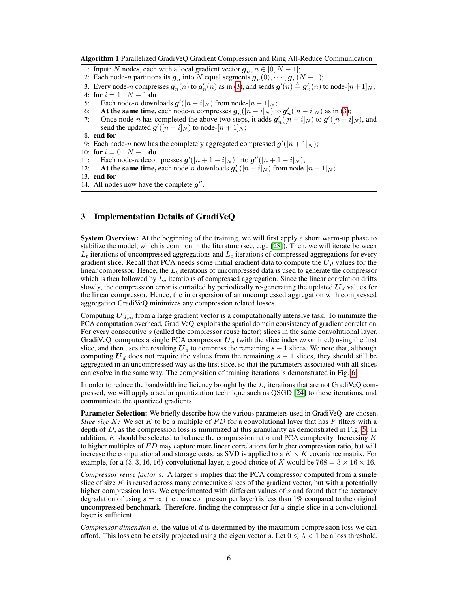Algorithm 1 Parallelized GradiVeQ Gradient Compression and Ring All-Reduce Communication

- 1: Input: N nodes, each with a local gradient vector  $g_n$ ,  $n \in [0, N 1]$ ;
- 2: Each node-n partitions its  $g_n$  into N equal segments  $g_n(0), \dots, g_n(N-1)$ ;
- 3: Every node-n compresses  $g_n(n)$  to  $g'_n(n)$  as in (3), and sends  $g'(n) \triangleq g'_n(n)$  to node- $[n+1]_N$ ;
- 4: for  $i = 1 : N 1$  do
- 5: Each node-n downloads  $g'([n-i]_N)$  from node- $[n-1]_N$ ;
- 6: At the same time, each node-n compresses  $g_n([n-i]_N)$  to  $g'_n([n-i]_N)$  as in (3);
- 7: Once node-n has completed the above two steps, it adds  $g'_n(\hat{[n-i]_N})$  to  $g'([n-i]_N)$ , and send the updated  $\boldsymbol{g}'([n-i]_N)$  to node- $[n+1]_N$ ;
- 8: end for
- 9: Each node-n now has the completely aggregated compressed  $g'([n+1]_N)$ ;
- 10: for  $i = 0 : N 1$  do
- 11: Each node-*n* decompresses  $g'([n+1-i]_N)$  into  $g''([n+1-i]_N)$ ;
- 12: At the same time, each node-n downloads  $g'_n([n-i]_N)$  from node- $[n-1]_N$ ;
- 13: end for
- 14: All nodes now have the complete  $g''$ .

## 3 Implementation Details of GradiVeQ

System Overview: At the beginning of the training, we will first apply a short warm-up phase to stabilize the model, which is common in the literature (see, e.g., [28]). Then, we will iterate between  $L_t$  iterations of uncompressed aggregations and  $L_c$  iterations of compressed aggregations for every gradient slice. Recall that PCA needs some initial gradient data to compute the  $U_d$  values for the linear compressor. Hence, the  $L_t$  iterations of uncompressed data is used to generate the compressor which is then followed by  $L_c$  iterations of compressed aggregation. Since the linear correlation drifts slowly, the compression error is curtailed by periodically re-generating the updated  $U_d$  values for the linear compressor. Hence, the interspersion of an uncompressed aggregation with compressed aggregation GradiVeQ minimizes any compression related losses.

Computing  $U_{d,m}$  from a large gradient vector is a computationally intensive task. To minimize the PCA computation overhead, GradiVeQ exploits the spatial domain consistency of gradient correlation. For every consecutive s (called the compressor reuse factor) slices in the same convolutional layer, GradiVeQ computes a single PCA compressor  $U_d$  (with the slice index m omitted) using the first slice, and then uses the resulting  $U_d$  to compress the remaining  $s - 1$  slices. We note that, although computing  $U_d$  does not require the values from the remaining  $s - 1$  slices, they should still be aggregated in an uncompressed way as the first slice, so that the parameters associated with all slices can evolve in the same way. The composition of training iterations is demonstrated in Fig. 6.

In order to reduce the bandwidth inefficiency brought by the  $L_t$  iterations that are not GradiVeQ compressed, we will apply a scalar quantization technique such as QSGD [24] to these iterations, and communicate the quantized gradients.

**Parameter Selection:** We briefly describe how the various parameters used in GradiVeQ are chosen. *Slice size* K: We set K to be a multiple of FD for a convolutional layer that has F filters with a depth of  $D$ , as the compression loss is minimized at this granularity as demonstrated in Fig. 5. In addition,  $K$  should be selected to balance the compression ratio and PCA complexity. Increasing  $K$ to higher multiples of  $FD$  may capture more linear correlations for higher compression ratio, but will increase the computational and storage costs, as SVD is applied to a  $K \times K$  covariance matrix. For example, for a  $(3, 3, 16, 16)$ -convolutional layer, a good choice of K would be  $768 = 3 \times 16 \times 16$ .

*Compressor reuse factor* s*:* A larger s implies that the PCA compressor computed from a single slice of size K is reused across many consecutive slices of the gradient vector, but with a potentially higher compression loss. We experimented with different values of  $s$  and found that the accuracy degradation of using  $s = \infty$  (i.e., one compressor per layer) is less than 1% compared to the original uncompressed benchmark. Therefore, finding the compressor for a single slice in a convolutional layer is sufficient.

*Compressor dimension* d*:* the value of d is determined by the maximum compression loss we can afford. This loss can be easily projected using the eigen vector s. Let  $0 \le \lambda < 1$  be a loss threshold,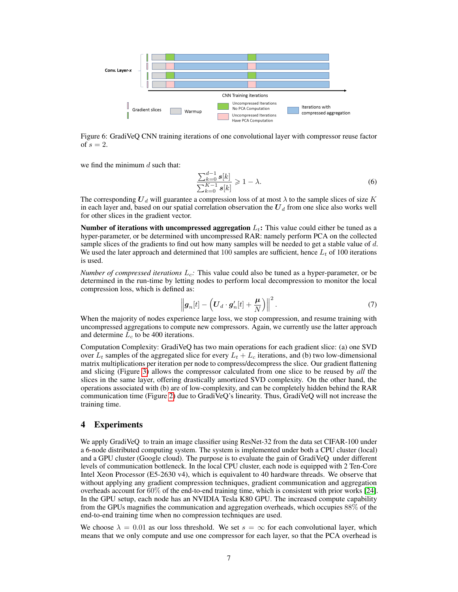

Figure 6: GradiVeQ CNN training iterations of one convolutional layer with compressor reuse factor of  $s = 2$ .

we find the minimum  $d$  such that:

$$
\frac{\sum_{k=0}^{d-1} s[k]}{\sum_{k=0}^{K-1} s[k]} \ge 1 - \lambda.
$$
\n(6)

The corresponding  $U_d$  will guarantee a compression loss of at most  $\lambda$  to the sample slices of size K in each layer and, based on our spatial correlation observation the  $U_d$  from one slice also works well for other slices in the gradient vector.

Number of iterations with uncompressed aggregation  $L_t$ : This value could either be tuned as a hyper-parameter, or be determined with uncompressed RAR: namely perform PCA on the collected sample slices of the gradients to find out how many samples will be needed to get a stable value of  $d$ . We used the later approach and determined that 100 samples are sufficient, hence  $L_t$  of 100 iterations is used.

*Number of compressed iterations*  $L_c$ : This value could also be tuned as a hyper-parameter, or be determined in the run-time by letting nodes to perform local decompression to monitor the local compression loss, which is defined as:

$$
\left\|\boldsymbol{g}_n[t] - \left(\boldsymbol{U}_d \cdot \boldsymbol{g}'_n[t] + \frac{\boldsymbol{\mu}}{N}\right)\right\|^2. \tag{7}
$$

When the majority of nodes experience large loss, we stop compression, and resume training with uncompressed aggregations to compute new compressors. Again, we currently use the latter approach and determine  $L_c$  to be 400 iterations.

Computation Complexity: GradiVeQ has two main operations for each gradient slice: (a) one SVD over  $L_t$  samples of the aggregated slice for every  $L_t + L_c$  iterations, and (b) two low-dimensional matrix multiplications per iteration per node to compress/decompress the slice. Our gradient flattening and slicing (Figure 3) allows the compressor calculated from one slice to be reused by *all* the slices in the same layer, offering drastically amortized SVD complexity. On the other hand, the operations associated with (b) are of low-complexity, and can be completely hidden behind the RAR communication time (Figure 2) due to GradiVeQ's linearity. Thus, GradiVeQ will not increase the training time.

## 4 Experiments

We apply GradiVeQ to train an image classifier using ResNet-32 from the data set CIFAR-100 under a 6-node distributed computing system. The system is implemented under both a CPU cluster (local) and a GPU cluster (Google cloud). The purpose is to evaluate the gain of GradiVeQ under different levels of communication bottleneck. In the local CPU cluster, each node is equipped with 2 Ten-Core Intel Xeon Processor (E5-2630 v4), which is equivalent to 40 hardware threads. We observe that without applying any gradient compression techniques, gradient communication and aggregation overheads account for 60% of the end-to-end training time, which is consistent with prior works [24]. In the GPU setup, each node has an NVIDIA Tesla K80 GPU. The increased compute capability from the GPUs magnifies the communication and aggregation overheads, which occupies 88% of the end-to-end training time when no compression techniques are used.

We choose  $\lambda = 0.01$  as our loss threshold. We set  $s = \infty$  for each convolutional layer, which means that we only compute and use one compressor for each layer, so that the PCA overhead is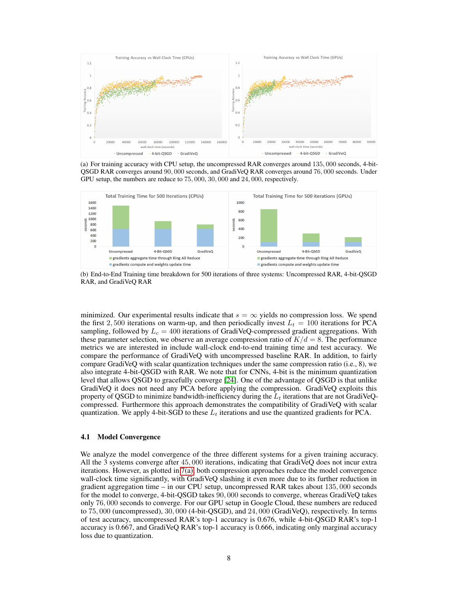

(a) For training accuracy with CPU setup, the uncompressed RAR converges around 135, 000 seconds, 4-bit-QSGD RAR converges around 90, 000 seconds, and GradiVeQ RAR converges around 76, 000 seconds. Under GPU setup, the numbers are reduce to 75, 000, 30, 000 and 24, 000, respectively.



(b) End-to-End Training time breakdown for 500 iterations of three systems: Uncompressed RAR, 4-bit-QSGD RAR, and GradiVeQ RAR

minimized. Our experimental results indicate that  $s = \infty$  yields no compression loss. We spend the first 2, 500 iterations on warm-up, and then periodically invest  $L_t = 100$  iterations for PCA sampling, followed by  $L_c = 400$  iterations of GradiVeQ-compressed gradient aggregations. With these parameter selection, we observe an average compression ratio of  $K/d = 8$ . The performance metrics we are interested in include wall-clock end-to-end training time and test accuracy. We compare the performance of GradiVeQ with uncompressed baseline RAR. In addition, to fairly compare GradiVeQ with scalar quantization techniques under the same compression ratio (i.e., 8), we also integrate 4-bit-QSGD with RAR. We note that for CNNs, 4-bit is the minimum quantization level that allows QSGD to gracefully converge [24]. One of the advantage of QSGD is that unlike GradiVeQ it does not need any PCA before applying the compression. GradiVeQ exploits this property of QSGD to minimize bandwidth-inefficiency during the  $L_t$  iterations that are not GradiVeQcompressed. Furthermore this approach demonstrates the compatibility of GradiVeQ with scalar quantization. We apply 4-bit-SGD to these  $L_t$  iterations and use the quantized gradients for PCA.

#### 4.1 Model Convergence

We analyze the model convergence of the three different systems for a given training accuracy. All the 3 systems converge after 45, 000 iterations, indicating that GradiVeQ does not incur extra iterations. However, as plotted in 7(a), both compression approaches reduce the model convergence wall-clock time significantly, with GradiVeQ slashing it even more due to its further reduction in gradient aggregation time – in our CPU setup, uncompressed RAR takes about 135, 000 seconds for the model to converge, 4-bit-QSGD takes 90, 000 seconds to converge, whereas GradiVeQ takes only 76, 000 seconds to converge. For our GPU setup in Google Cloud, these numbers are reduced to 75, 000 (uncompressed), 30, 000 (4-bit-QSGD), and 24, 000 (GradiVeQ), respectively. In terms of test accuracy, uncompressed RAR's top-1 accuracy is 0.676, while 4-bit-QSGD RAR's top-1 accuracy is 0.667, and GradiVeQ RAR's top-1 accuracy is 0.666, indicating only marginal accuracy loss due to quantization.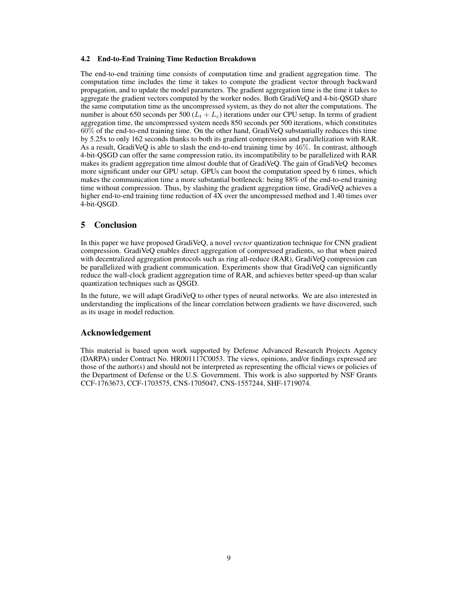#### 4.2 End-to-End Training Time Reduction Breakdown

The end-to-end training time consists of computation time and gradient aggregation time. The computation time includes the time it takes to compute the gradient vector through backward propagation, and to update the model parameters. The gradient aggregation time is the time it takes to aggregate the gradient vectors computed by the worker nodes. Both GradiVeQ and 4-bit-QSGD share the same computation time as the uncompressed system, as they do not alter the computations. The number is about 650 seconds per 500 ( $L_t + L_c$ ) iterations under our CPU setup. In terms of gradient aggregation time, the uncompressed system needs 850 seconds per 500 iterations, which constitutes 60% of the end-to-end training time. On the other hand, GradiVeQ substantially reduces this time by 5.25x to only 162 seconds thanks to both its gradient compression and parallelization with RAR. As a result, GradiVeQ is able to slash the end-to-end training time by 46%. In contrast, although 4-bit-QSGD can offer the same compression ratio, its incompatibility to be parallelized with RAR makes its gradient aggregation time almost double that of GradiVeQ. The gain of GradiVeQ becomes more significant under our GPU setup. GPUs can boost the computation speed by 6 times, which makes the communication time a more substantial bottleneck: being 88% of the end-to-end training time without compression. Thus, by slashing the gradient aggregation time, GradiVeQ achieves a higher end-to-end training time reduction of 4X over the uncompressed method and 1.40 times over 4-bit-QSGD.

### 5 Conclusion

In this paper we have proposed GradiVeQ, a novel *vector* quantization technique for CNN gradient compression. GradiVeQ enables direct aggregation of compressed gradients, so that when paired with decentralized aggregation protocols such as ring all-reduce (RAR), GradiVeQ compression can be parallelized with gradient communication. Experiments show that GradiVeQ can significantly reduce the wall-clock gradient aggregation time of RAR, and achieves better speed-up than scalar quantization techniques such as QSGD.

In the future, we will adapt GradiVeQ to other types of neural networks. We are also interested in understanding the implications of the linear correlation between gradients we have discovered, such as its usage in model reduction.

## Acknowledgement

This material is based upon work supported by Defense Advanced Research Projects Agency (DARPA) under Contract No. HR001117C0053. The views, opinions, and/or findings expressed are those of the author(s) and should not be interpreted as representing the official views or policies of the Department of Defense or the U.S. Government. This work is also supported by NSF Grants CCF-1763673, CCF-1703575, CNS-1705047, CNS-1557244, SHF-1719074.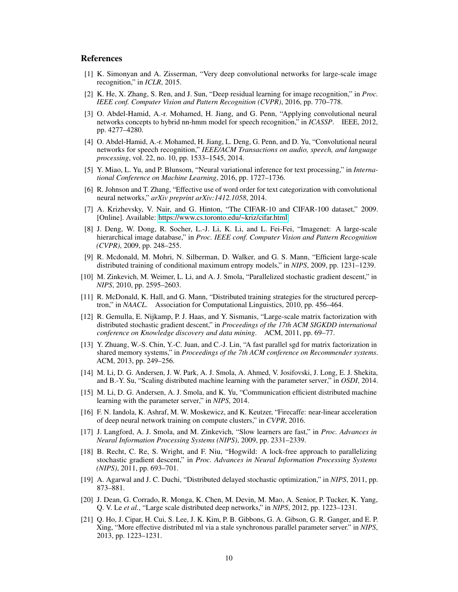## References

- [1] K. Simonyan and A. Zisserman, "Very deep convolutional networks for large-scale image recognition," in *ICLR*, 2015.
- [2] K. He, X. Zhang, S. Ren, and J. Sun, "Deep residual learning for image recognition," in *Proc. IEEE conf. Computer Vision and Pattern Recognition (CVPR)*, 2016, pp. 770–778.
- [3] O. Abdel-Hamid, A.-r. Mohamed, H. Jiang, and G. Penn, "Applying convolutional neural networks concepts to hybrid nn-hmm model for speech recognition," in *ICASSP*. IEEE, 2012, pp. 4277–4280.
- [4] O. Abdel-Hamid, A.-r. Mohamed, H. Jiang, L. Deng, G. Penn, and D. Yu, "Convolutional neural networks for speech recognition," *IEEE/ACM Transactions on audio, speech, and language processing*, vol. 22, no. 10, pp. 1533–1545, 2014.
- [5] Y. Miao, L. Yu, and P. Blunsom, "Neural variational inference for text processing," in *International Conference on Machine Learning*, 2016, pp. 1727–1736.
- [6] R. Johnson and T. Zhang, "Effective use of word order for text categorization with convolutional neural networks," *arXiv preprint arXiv:1412.1058*, 2014.
- [7] A. Krizhevsky, V. Nair, and G. Hinton, "The CIFAR-10 and CIFAR-100 dataset," 2009. [Online]. Available:<https://www.cs.toronto.edu/~kriz/cifar.html>
- [8] J. Deng, W. Dong, R. Socher, L.-J. Li, K. Li, and L. Fei-Fei, "Imagenet: A large-scale hierarchical image database," in *Proc. IEEE conf. Computer Vision and Pattern Recognition (CVPR)*, 2009, pp. 248–255.
- [9] R. Mcdonald, M. Mohri, N. Silberman, D. Walker, and G. S. Mann, "Efficient large-scale distributed training of conditional maximum entropy models," in *NIPS*, 2009, pp. 1231–1239.
- [10] M. Zinkevich, M. Weimer, L. Li, and A. J. Smola, "Parallelized stochastic gradient descent," in *NIPS*, 2010, pp. 2595–2603.
- [11] R. McDonald, K. Hall, and G. Mann, "Distributed training strategies for the structured perceptron," in *NAACL*. Association for Computational Linguistics, 2010, pp. 456–464.
- [12] R. Gemulla, E. Nijkamp, P. J. Haas, and Y. Sismanis, "Large-scale matrix factorization with distributed stochastic gradient descent," in *Proceedings of the 17th ACM SIGKDD international conference on Knowledge discovery and data mining*. ACM, 2011, pp. 69–77.
- [13] Y. Zhuang, W.-S. Chin, Y.-C. Juan, and C.-J. Lin, "A fast parallel sgd for matrix factorization in shared memory systems," in *Proceedings of the 7th ACM conference on Recommender systems*. ACM, 2013, pp. 249–256.
- [14] M. Li, D. G. Andersen, J. W. Park, A. J. Smola, A. Ahmed, V. Josifovski, J. Long, E. J. Shekita, and B.-Y. Su, "Scaling distributed machine learning with the parameter server," in *OSDI*, 2014.
- [15] M. Li, D. G. Andersen, A. J. Smola, and K. Yu, "Communication efficient distributed machine learning with the parameter server," in *NIPS*, 2014.
- [16] F. N. Iandola, K. Ashraf, M. W. Moskewicz, and K. Keutzer, "Firecaffe: near-linear acceleration of deep neural network training on compute clusters," in *CVPR*, 2016.
- [17] J. Langford, A. J. Smola, and M. Zinkevich, "Slow learners are fast," in *Proc. Advances in Neural Information Processing Systems (NIPS)*, 2009, pp. 2331–2339.
- [18] B. Recht, C. Re, S. Wright, and F. Niu, "Hogwild: A lock-free approach to parallelizing stochastic gradient descent," in *Proc. Advances in Neural Information Processing Systems (NIPS)*, 2011, pp. 693–701.
- [19] A. Agarwal and J. C. Duchi, "Distributed delayed stochastic optimization," in *NIPS*, 2011, pp. 873–881.
- [20] J. Dean, G. Corrado, R. Monga, K. Chen, M. Devin, M. Mao, A. Senior, P. Tucker, K. Yang, Q. V. Le *et al.*, "Large scale distributed deep networks," in *NIPS*, 2012, pp. 1223–1231.
- [21] Q. Ho, J. Cipar, H. Cui, S. Lee, J. K. Kim, P. B. Gibbons, G. A. Gibson, G. R. Ganger, and E. P. Xing, "More effective distributed ml via a stale synchronous parallel parameter server." in *NIPS*, 2013, pp. 1223–1231.